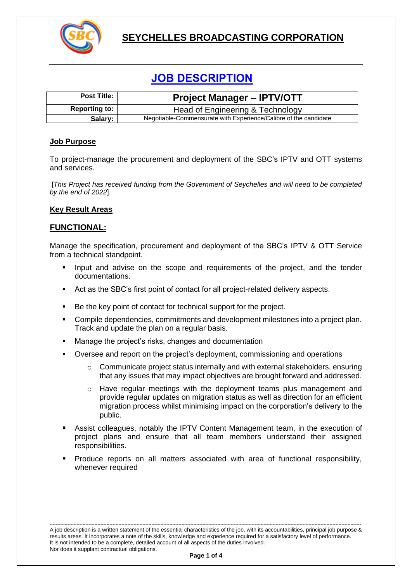

# **SEYCHELLES BROADCASTING CORPORATION**

# **JOB DESCRIPTION**

| <b>Post Title:</b>   | <b>Project Manager - IPTV/OTT</b>                                |
|----------------------|------------------------------------------------------------------|
| <b>Reporting to:</b> | Head of Engineering & Technology                                 |
| Salary:              | Negotiable-Commensurate with Experience/Calibre of the candidate |

#### **Job Purpose**

To project-manage the procurement and deployment of the SBC's IPTV and OTT systems and services.

[*This Project has received funding from the Government of Seychelles and will need to be completed by the end of 2022*].

## **Key Result Areas**

## **FUNCTIONAL:**

Manage the specification, procurement and deployment of the SBC's IPTV & OTT Service from a technical standpoint.

- Input and advise on the scope and requirements of the project, and the tender documentations.
- Act as the SBC's first point of contact for all project-related delivery aspects.
- Be the key point of contact for technical support for the project.
- Compile dependencies, commitments and development milestones into a project plan. Track and update the plan on a regular basis.
- Manage the project's risks, changes and documentation
- Oversee and report on the project's deployment, commissioning and operations
	- $\circ$  Communicate project status internally and with external stakeholders, ensuring that any issues that may impact objectives are brought forward and addressed.
	- o Have regular meetings with the deployment teams plus management and provide regular updates on migration status as well as direction for an efficient migration process whilst minimising impact on the corporation's delivery to the public.
- Assist colleagues, notably the IPTV Content Management team, in the execution of project plans and ensure that all team members understand their assigned responsibilities.
- Produce reports on all matters associated with area of functional responsibility, whenever required

---------------------------------------------------------------------------------------------------------------------------------------------------------------------------------------------------------------- A job description is a written statement of the essential characteristics of the job, with its accountabilities, principal job purpose & results areas. It incorporates a note of the skills, knowledge and experience required for a satisfactory level of performance. It is not intended to be a complete, detailed account of all aspects of the duties involved. Nor does it supplant contractual obligations.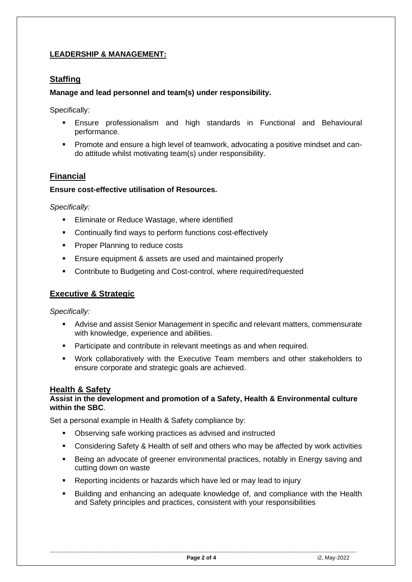# **LEADERSHIP & MANAGEMENT:**

# **Staffing**

# **Manage and lead personnel and team(s) under responsibility.**

Specifically:

- **Ensure professionalism and high standards in Functional and Behavioural** performance.
- Promote and ensure a high level of teamwork, advocating a positive mindset and cando attitude whilst motivating team(s) under responsibility.

# **Financial**

## **Ensure cost-effective utilisation of Resources.**

*Specifically:*

- Eliminate or Reduce Wastage, where identified
- Continually find ways to perform functions cost-effectively
- Proper Planning to reduce costs
- Ensure equipment & assets are used and maintained properly
- Contribute to Budgeting and Cost-control, where required/requested

# **Executive & Strategic**

*Specifically:*

- Advise and assist Senior Management in specific and relevant matters, commensurate with knowledge, experience and abilities.
- Participate and contribute in relevant meetings as and when required.
- Work collaboratively with the Executive Team members and other stakeholders to ensure corporate and strategic goals are achieved.

## **Health & Safety**

#### **Assist in the development and promotion of a Safety, Health & Environmental culture within the SBC**.

Set a personal example in Health & Safety compliance by:

- Observing safe working practices as advised and instructed
- **Considering Safety & Health of self and others who may be affected by work activities**
- **EXECT** Being an advocate of greener environmental practices, notably in Energy saving and cutting down on waste
- Reporting incidents or hazards which have led or may lead to injury
- Building and enhancing an adequate knowledge of, and compliance with the Health and Safety principles and practices, consistent with your responsibilities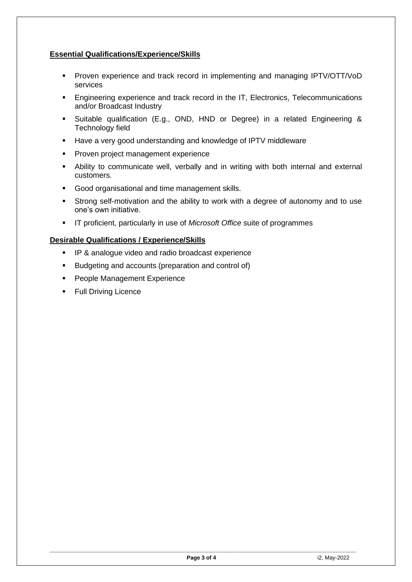# **Essential Qualifications/Experience/Skills**

- **•** Proven experience and track record in implementing and managing IPTV/OTT/VoD services
- **Engineering experience and track record in the IT, Electronics, Telecommunications** and/or Broadcast Industry
- Suitable qualification (E.g., OND, HND or Degree) in a related Engineering & Technology field
- Have a very good understanding and knowledge of IPTV middleware
- **Proven project management experience**
- **EXT** Ability to communicate well, verbally and in writing with both internal and external customers.
- Good organisational and time management skills.
- **EXT** Strong self-motivation and the ability to work with a degree of autonomy and to use one's own initiative.
- IT proficient, particularly in use of *Microsoft Office* suite of programmes

## **Desirable Qualifications / Experience/Skills**

- **IP & analogue video and radio broadcast experience**
- Budgeting and accounts (preparation and control of)
- People Management Experience
- Full Driving Licence